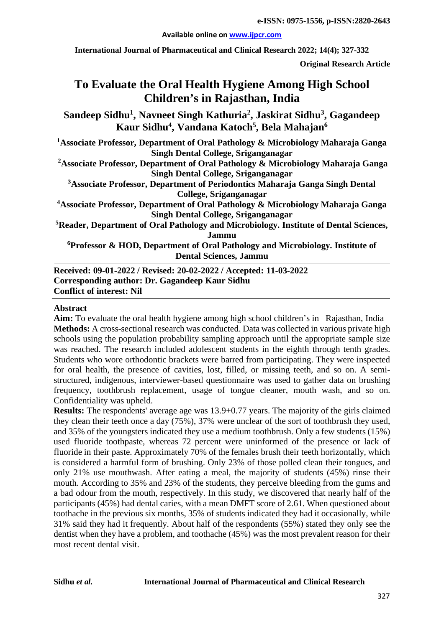#### **Available online on [www.ijpcr.com](http://www.ijpcr.com/)**

**International Journal of Pharmaceutical and Clinical Research 2022; 14(4); 327-332**

**Original Research Article**

# **To Evaluate the Oral Health Hygiene Among High School Children's in Rajasthan, India**

**Sandeep Sidhu1 , Navneet Singh Kathuria2 , Jaskirat Sidhu3 , Gagandeep Kaur Sidhu4 , Vandana Katoch5 , Bela Mahajan6**

**1 Associate Professor, Department of Oral Pathology & Microbiology Maharaja Ganga Singh Dental College, Sriganganagar**

**2 Associate Professor, Department of Oral Pathology & Microbiology Maharaja Ganga Singh Dental College, Sriganganagar**

**3 Associate Professor, Department of Periodontics Maharaja Ganga Singh Dental College, Sriganganagar** 

**4 Associate Professor, Department of Oral Pathology & Microbiology Maharaja Ganga Singh Dental College, Sriganganagar**

**5 Reader, Department of Oral Pathology and Microbiology. Institute of Dental Sciences, Jammu**

**6 Professor & HOD, Department of Oral Pathology and Microbiology. Institute of Dental Sciences, Jammu** 

**Received: 09-01-2022 / Revised: 20-02-2022 / Accepted: 11-03-2022 Corresponding author: Dr. Gagandeep Kaur Sidhu Conflict of interest: Nil**

## **Abstract**

**Aim:** To evaluate the oral health hygiene among high school children's in Rajasthan, India **Methods:** A cross-sectional research was conducted. Data was collected in various private high schools using the population probability sampling approach until the appropriate sample size was reached. The research included adolescent students in the eighth through tenth grades. Students who wore orthodontic brackets were barred from participating. They were inspected for oral health, the presence of cavities, lost, filled, or missing teeth, and so on. A semistructured, indigenous, interviewer-based questionnaire was used to gather data on brushing frequency, toothbrush replacement, usage of tongue cleaner, mouth wash, and so on. Confidentiality was upheld.

**Results:** The respondents' average age was 13.9+0.77 years. The majority of the girls claimed they clean their teeth once a day (75%), 37% were unclear of the sort of toothbrush they used, and 35% of the youngsters indicated they use a medium toothbrush. Only a few students (15%) used fluoride toothpaste, whereas 72 percent were uninformed of the presence or lack of fluoride in their paste. Approximately 70% of the females brush their teeth horizontally, which is considered a harmful form of brushing. Only 23% of those polled clean their tongues, and only 21% use mouthwash. After eating a meal, the majority of students (45%) rinse their mouth. According to 35% and 23% of the students, they perceive bleeding from the gums and a bad odour from the mouth, respectively. In this study, we discovered that nearly half of the participants (45%) had dental caries, with a mean DMFT score of 2.61. When questioned about toothache in the previous six months, 35% of students indicated they had it occasionally, while 31% said they had it frequently. About half of the respondents (55%) stated they only see the dentist when they have a problem, and toothache (45%) was the most prevalent reason for their most recent dental visit.

### **Sidhu** *et al.* **International Journal of Pharmaceutical and Clinical Research**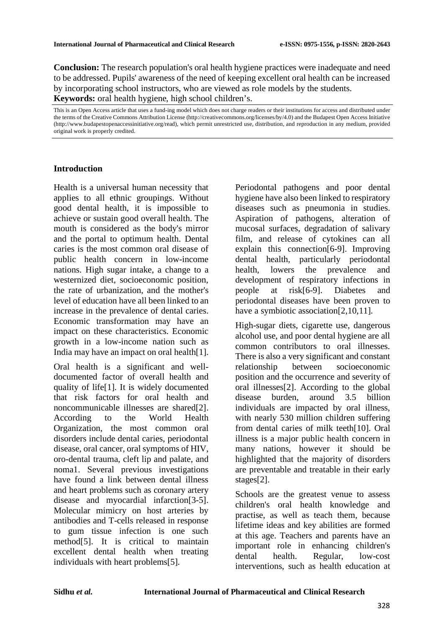**Conclusion:** The research population's oral health hygiene practices were inadequate and need to be addressed. Pupils' awareness of the need of keeping excellent oral health can be increased by incorporating school instructors, who are viewed as role models by the students. **Keywords:** oral health hygiene, high school children's.

This is an Open Access article that uses a fund-ing model which does not charge readers or their institutions for access and distributed under the terms of the Creative Commons Attribution License (http://creativecommons.org/licenses/by/4.0) and the Budapest Open Access Initiative (http://www.budapestopenaccessinitiative.org/read), which permit unrestricted use, distribution, and reproduction in any medium, provided original work is properly credited.

# **Introduction**

Health is a universal human necessity that applies to all ethnic groupings. Without good dental health, it is impossible to achieve or sustain good overall health. The mouth is considered as the body's mirror and the portal to optimum health. Dental caries is the most common oral disease of public health concern in low-income nations. High sugar intake, a change to a westernized diet, socioeconomic position, the rate of urbanization, and the mother's level of education have all been linked to an increase in the prevalence of dental caries. Economic transformation may have an impact on these characteristics. Economic growth in a low-income nation such as India may have an impact on oral health[1].

Oral health is a significant and welldocumented factor of overall health and quality of life[1]. It is widely documented that risk factors for oral health and noncommunicable illnesses are shared[2]. According to the World Health Organization, the most common oral disorders include dental caries, periodontal disease, oral cancer, oral symptoms of HIV, oro-dental trauma, cleft lip and palate, and noma1. Several previous investigations have found a link between dental illness and heart problems such as coronary artery disease and myocardial infarction[3-5]. Molecular mimicry on host arteries by antibodies and T-cells released in response to gum tissue infection is one such method[5]. It is critical to maintain excellent dental health when treating individuals with heart problems[5].

Periodontal pathogens and poor dental hygiene have also been linked to respiratory diseases such as pneumonia in studies. Aspiration of pathogens, alteration of mucosal surfaces, degradation of salivary film, and release of cytokines can all explain this connection[6-9]. Improving dental health, particularly periodontal health, lowers the prevalence and development of respiratory infections in people at risk[6-9]. Diabetes and periodontal diseases have been proven to have a symbiotic association[2,10,11].

High-sugar diets, cigarette use, dangerous alcohol use, and poor dental hygiene are all common contributors to oral illnesses. There is also a very significant and constant relationship between socioeconomic position and the occurrence and severity of oral illnesses[2]. According to the global disease burden, around 3.5 billion individuals are impacted by oral illness, with nearly 530 million children suffering from dental caries of milk teeth[10]. Oral illness is a major public health concern in many nations, however it should be highlighted that the majority of disorders are preventable and treatable in their early stages[2].

Schools are the greatest venue to assess children's oral health knowledge and practise, as well as teach them, because lifetime ideas and key abilities are formed at this age. Teachers and parents have an important role in enhancing children's dental health. Regular, low-cost interventions, such as health education at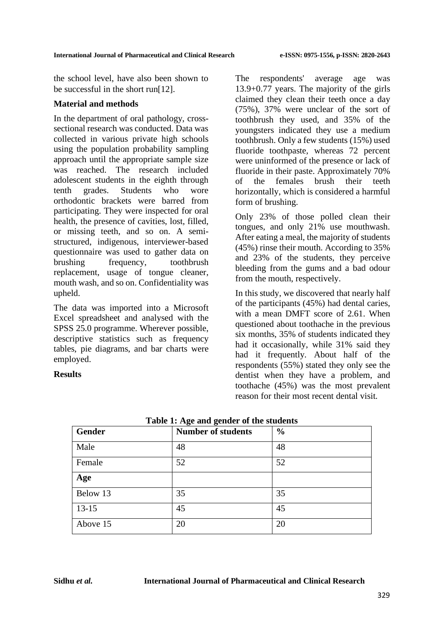the school level, have also been shown to be successful in the short run[12].

## **Material and methods**

In the department of oral pathology, crosssectional research was conducted. Data was collected in various private high schools using the population probability sampling approach until the appropriate sample size was reached. The research included adolescent students in the eighth through tenth grades. Students who wore orthodontic brackets were barred from participating. They were inspected for oral health, the presence of cavities, lost, filled, or missing teeth, and so on. A semistructured, indigenous, interviewer-based questionnaire was used to gather data on brushing frequency, toothbrush replacement, usage of tongue cleaner, mouth wash, and so on. Confidentiality was upheld.

The data was imported into a Microsoft Excel spreadsheet and analysed with the SPSS 25.0 programme. Wherever possible, descriptive statistics such as frequency tables, pie diagrams, and bar charts were employed.

# **Results**

The respondents' average age was 13.9+0.77 years. The majority of the girls claimed they clean their teeth once a day (75%), 37% were unclear of the sort of toothbrush they used, and 35% of the youngsters indicated they use a medium toothbrush. Only a few students (15%) used fluoride toothpaste, whereas 72 percent were uninformed of the presence or lack of fluoride in their paste. Approximately 70% of the females brush their teeth horizontally, which is considered a harmful form of brushing.

Only 23% of those polled clean their tongues, and only 21% use mouthwash. After eating a meal, the majority of students (45%) rinse their mouth. According to 35% and 23% of the students, they perceive bleeding from the gums and a bad odour from the mouth, respectively.

In this study, we discovered that nearly half of the participants (45%) had dental caries, with a mean DMFT score of 2.61. When questioned about toothache in the previous six months, 35% of students indicated they had it occasionally, while 31% said they had it frequently. About half of the respondents (55%) stated they only see the dentist when they have a problem, and toothache (45%) was the most prevalent reason for their most recent dental visit.

| Gender   | <b>Number of students</b> | $\frac{0}{0}$ |
|----------|---------------------------|---------------|
| Male     | 48                        | 48            |
| Female   | 52                        | 52            |
| Age      |                           |               |
| Below 13 | 35                        | 35            |
| $13-15$  | 45                        | 45            |
| Above 15 | 20                        | 20            |

**Table 1: Age and gender of the students**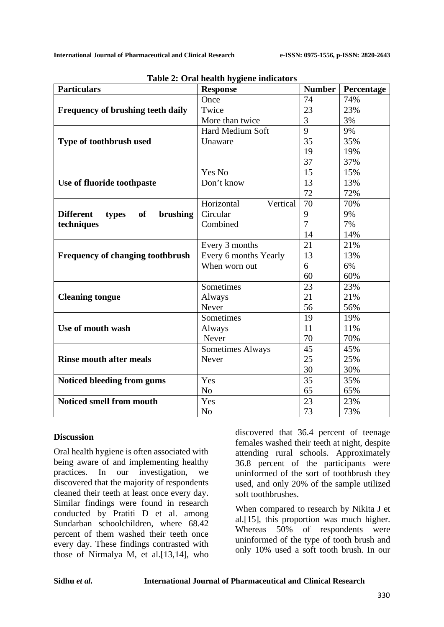| <b>Particulars</b>                                 | <b>Response</b>         | <b>Number</b>  | Percentage |
|----------------------------------------------------|-------------------------|----------------|------------|
|                                                    | Once                    | 74             | 74%        |
| <b>Frequency of brushing teeth daily</b>           | Twice                   | 23             | 23%        |
|                                                    | More than twice         | 3              | 3%         |
|                                                    | Hard Medium Soft        | 9              | 9%         |
| Type of toothbrush used                            | Unaware                 | 35             | 35%        |
|                                                    |                         | 19             | 19%        |
|                                                    |                         | 37             | 37%        |
|                                                    | Yes No                  | 15             | 15%        |
| Use of fluoride toothpaste                         | Don't know              | 13             | 13%        |
|                                                    |                         | 72             | 72%        |
|                                                    | Horizontal<br>Vertical  | 70             | 70%        |
| <b>Different</b><br><b>of</b><br>brushing<br>types | Circular                | 9              | 9%         |
| techniques                                         | Combined                | $\overline{7}$ | 7%         |
|                                                    |                         | 14             | 14%        |
|                                                    | Every 3 months          | 21             | 21%        |
| <b>Frequency of changing toothbrush</b>            | Every 6 months Yearly   | 13             | 13%        |
|                                                    | When worn out           | 6              | 6%         |
|                                                    |                         | 60             | 60%        |
|                                                    | Sometimes               | 23             | 23%        |
| <b>Cleaning tongue</b>                             | Always                  | 21             | 21%        |
|                                                    | Never                   | 56             | 56%        |
|                                                    | Sometimes               | 19             | 19%        |
| Use of mouth wash                                  | Always                  | 11             | 11%        |
|                                                    | Never                   | 70             | 70%        |
|                                                    | <b>Sometimes Always</b> | 45             | 45%        |
| <b>Rinse mouth after meals</b>                     | Never                   | 25             | 25%        |
|                                                    |                         | 30             | 30%        |
| Noticed bleeding from gums                         | Yes                     | 35             | 35%        |
|                                                    | N <sub>o</sub>          | 65             | 65%        |
| <b>Noticed smell from mouth</b>                    | Yes                     | 23             | 23%        |
|                                                    | N <sub>o</sub>          | 73             | 73%        |

**Table 2: Oral health hygiene indicators**

# **Discussion**

Oral health hygiene is often associated with being aware of and implementing healthy practices. In our investigation, we discovered that the majority of respondents cleaned their teeth at least once every day. Similar findings were found in research conducted by Pratiti D et al. among Sundarban schoolchildren, where 68.42 percent of them washed their teeth once every day. These findings contrasted with those of Nirmalya M, et al.[13,14], who discovered that 36.4 percent of teenage females washed their teeth at night, despite attending rural schools. Approximately 36.8 percent of the participants were uninformed of the sort of toothbrush they used, and only 20% of the sample utilized soft toothbrushes.

When compared to research by Nikita J et al.[15], this proportion was much higher. Whereas 50% of respondents were uninformed of the type of tooth brush and only 10% used a soft tooth brush. In our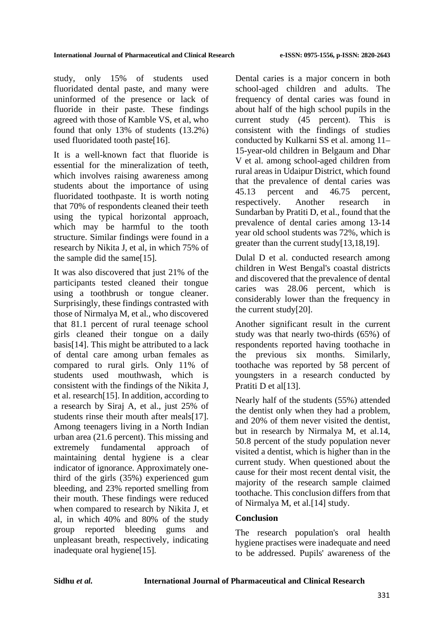study, only 15% of students used fluoridated dental paste, and many were uninformed of the presence or lack of fluoride in their paste. These findings agreed with those of Kamble VS, et al, who found that only 13% of students (13.2%) used fluoridated tooth paste[16].

It is a well-known fact that fluoride is essential for the mineralization of teeth, which involves raising awareness among students about the importance of using fluoridated toothpaste. It is worth noting that 70% of respondents cleaned their teeth using the typical horizontal approach, which may be harmful to the tooth structure. Similar findings were found in a research by Nikita J, et al, in which 75% of the sample did the same[15].

It was also discovered that just 21% of the participants tested cleaned their tongue using a toothbrush or tongue cleaner. Surprisingly, these findings contrasted with those of Nirmalya M, et al., who discovered that 81.1 percent of rural teenage school girls cleaned their tongue on a daily basis[14]. This might be attributed to a lack of dental care among urban females as compared to rural girls. Only 11% of students used mouthwash, which is consistent with the findings of the Nikita J, et al. research[15]. In addition, according to a research by Siraj A, et al., just 25% of students rinse their mouth after meals[17]. Among teenagers living in a North Indian urban area (21.6 percent). This missing and extremely fundamental approach of maintaining dental hygiene is a clear indicator of ignorance. Approximately onethird of the girls (35%) experienced gum bleeding, and 23% reported smelling from their mouth. These findings were reduced when compared to research by Nikita J, et al, in which 40% and 80% of the study group reported bleeding gums and unpleasant breath, respectively, indicating inadequate oral hygiene[15].

Dental caries is a major concern in both school-aged children and adults. The frequency of dental caries was found in about half of the high school pupils in the current study (45 percent). This is consistent with the findings of studies conducted by Kulkarni SS et al. among 11– 15-year-old children in Belgaum and Dhar V et al. among school-aged children from rural areas in Udaipur District, which found that the prevalence of dental caries was 45.13 percent and 46.75 percent, respectively. Another research in Sundarban by Pratiti D, et al., found that the prevalence of dental caries among 13-14 year old school students was 72%, which is greater than the current study[13,18,19].

Dulal D et al. conducted research among children in West Bengal's coastal districts and discovered that the prevalence of dental caries was 28.06 percent, which is considerably lower than the frequency in the current study[20].

Another significant result in the current study was that nearly two-thirds (65%) of respondents reported having toothache in the previous six months. Similarly, toothache was reported by 58 percent of youngsters in a research conducted by Pratiti D et al<sup>[13]</sup>.

Nearly half of the students (55%) attended the dentist only when they had a problem, and 20% of them never visited the dentist, but in research by Nirmalya M, et al.14, 50.8 percent of the study population never visited a dentist, which is higher than in the current study. When questioned about the cause for their most recent dental visit, the majority of the research sample claimed toothache. This conclusion differs from that of Nirmalya M, et al.[14] study.

# **Conclusion**

The research population's oral health hygiene practises were inadequate and need to be addressed. Pupils' awareness of the